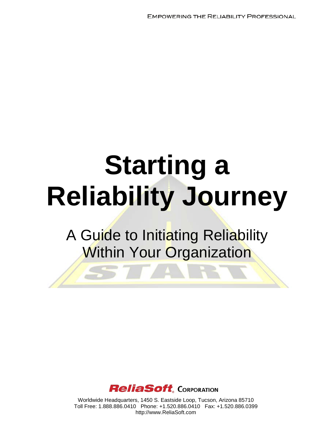**EMPOWERING THE RELIABILITY PROFESSIONAL** 

# **Starting a Reliability Journey**

# A Guide to Initiating Reliability Within Your Organization



Worldwide Headquarters, 1450 S. Eastside Loop, Tucson, Arizona 85710 Toll Free: 1.888.886.0410 Phone: +1.520.886.0410 Fax: +1.520.886.0399 http://www.ReliaSoft.com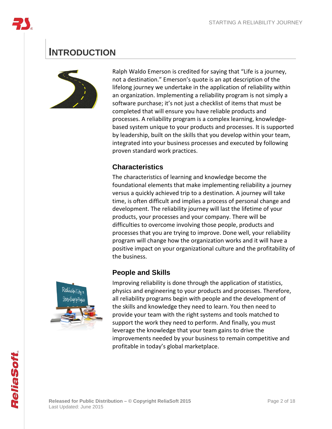

## **INTRODUCTION**



Ralph Waldo Emerson is credited for saying that "Life is a journey, not a destination." Emerson's quote is an apt description of the lifelong journey we undertake in the application of reliability within an organization. Implementing a reliability program is not simply a software purchase; it's not just a checklist of items that must be completed that will ensure you have reliable products and processes. A reliability program is a complex learning, knowledgebased system unique to your products and processes. It is supported by leadership, built on the skills that you develop within your team, integrated into your business processes and executed by following proven standard work practices.

## **Characteristics**

The characteristics of learning and knowledge become the foundational elements that make implementing reliability a journey versus a quickly achieved trip to a destination. A journey will take time, is often difficult and implies a process of personal change and development. The reliability journey will last the lifetime of your products, your processes and your company. There will be difficulties to overcome involving those people, products and processes that you are trying to improve. Done well, your reliability program will change how the organization works and it will have a positive impact on your organizational culture and the profitability of the business.

## **People and Skills**



Improving reliability is done through the application of statistics, physics and engineering to your products and processes. Therefore, all reliability programs begin with people and the development of the skills and knowledge they need to learn. You then need to provide your team with the right systems and tools matched to support the work they need to perform. And finally, you must leverage the knowledge that your team gains to drive the improvements needed by your business to remain competitive and profitable in today's global marketplace.

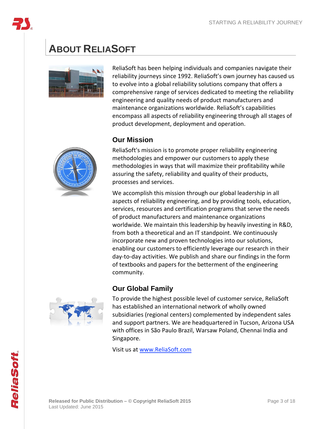

# **ABOUT RELIASOFT**



ReliaSoft has been helping individuals and companies navigate their reliability journeys since 1992. ReliaSoft's own journey has caused us to evolve into a global reliability solutions company that offers a comprehensive range of services dedicated to meeting the reliability engineering and quality needs of product manufacturers and maintenance organizations worldwide. ReliaSoft's capabilities encompass all aspects of reliability engineering through all stages of product development, deployment and operation.

## **Our Mission**



ReliaSoft's mission is to promote proper reliability engineering methodologies and empower our customers to apply these methodologies in ways that will maximize their profitability while assuring the safety, reliability and quality of their products, processes and services.

We accomplish this mission through our global leadership in all aspects of reliability engineering, and by providing tools, education, services, resources and certification programs that serve the needs of product manufacturers and maintenance organizations worldwide. We maintain this leadership by heavily investing in R&D, from both a theoretical and an IT standpoint. We continuously incorporate new and proven technologies into our solutions, enabling our customers to efficiently leverage our research in their day-to-day activities. We publish and share our findings in the form of textbooks and papers for the betterment of the engineering community.

## **Our Global Family**



To provide the highest possible level of customer service, ReliaSoft has established an international network of wholly owned subsidiaries (regional centers) complemented by independent sales and support partners. We are headquartered in Tucson, Arizona USA with offices in São Paulo Brazil, Warsaw Poland, Chennai India and Singapore.

Visit us at [www.ReliaSoft.com](http://www.reliasoft.com/)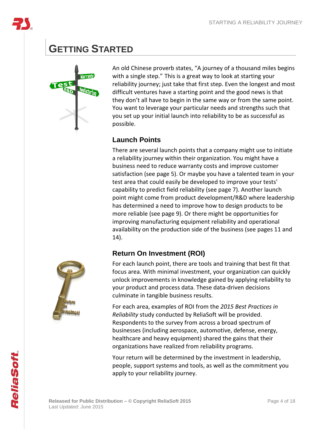

## **GETTING STARTED**



An old Chinese proverb states, "A journey of a thousand miles begins with a single step." This is a great way to look at starting your reliability journey; just take that first step. Even the longest and most difficult ventures have a starting point and the good news is that they don't all have to begin in the same way or from the same point. You want to leverage your particular needs and strengths such that you set up your initial launch into reliability to be as successful as possible.

## **Launch Points**

There are several launch points that a company might use to initiate a reliability journey within their organization. You might have a business need to reduce warranty costs and improve customer satisfaction (see page [5\)](#page-4-0). Or maybe you have a talented team in your test area that could easily be developed to improve your tests' capability to predict field reliability (see page [7\)](#page-6-0). Another launch point might come from product development/R&D where leadership has determined a need to improve how to design products to be more reliable (see page [9\)](#page-8-0). Or there might be opportunities for improving manufacturing equipment reliability and operational availability on the production side of the business (see pages [11](#page-10-0) and [14\)](#page-13-0).

## **Return On Investment (ROI)**



For each launch point, there are tools and training that best fit that focus area. With minimal investment, your organization can quickly unlock improvements in knowledge gained by applying reliability to your product and process data. These data-driven decisions culminate in tangible business results.

For each area, examples of ROI from the *2015 Best Practices in Reliability* study conducted by ReliaSoft will be provided. Respondents to the survey from across a broad spectrum of businesses (including aerospace, automotive, defense, energy, healthcare and heavy equipment) shared the gains that their organizations have realized from reliability programs.

Your return will be determined by the investment in leadership, people, support systems and tools, as well as the commitment you apply to your reliability journey.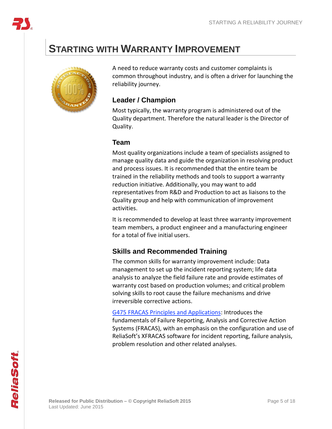## <span id="page-4-0"></span>**STARTING WITH WARRANTY IMPROVEMENT**



A need to reduce warranty costs and customer complaints is common throughout industry, and is often a driver for launching the reliability journey.

## **Leader / Champion**

Most typically, the warranty program is administered out of the Quality department. Therefore the natural leader is the Director of Quality.

## **Team**

Most quality organizations include a team of specialists assigned to manage quality data and guide the organization in resolving product and process issues. It is recommended that the entire team be trained in the reliability methods and tools to support a warranty reduction initiative. Additionally, you may want to add representatives from R&D and Production to act as liaisons to the Quality group and help with communication of improvement activities.

It is recommended to develop at least three warranty improvement team members, a product engineer and a manufacturing engineer for a total of five initial users.

## **Skills and Recommended Training**

The common skills for warranty improvement include: Data management to set up the incident reporting system; life data analysis to analyze the field failure rate and provide estimates of warranty cost based on production volumes; and critical problem solving skills to root cause the failure mechanisms and drive irreversible corrective actions.

G475 FRACAS Principles and [Applications:](http://www.reliasoft.com/seminars/courses/g475.htm) Introduces the fundamentals of Failure Reporting, Analysis and Corrective Action Systems (FRACAS), with an emphasis on the configuration and use of ReliaSoft's XFRACAS software for incident reporting, failure analysis, problem resolution and other related analyses.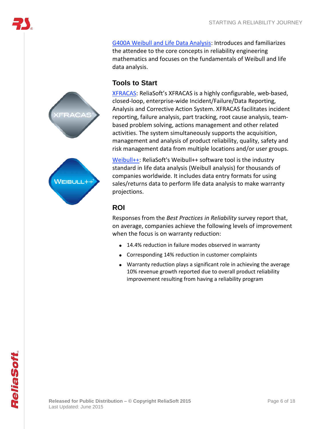



G400A Weibull and Life Data [Analysis:](http://www.reliasoft.com/seminars/courses/g400a.htm) Introduces and familiarizes

mathematics and focuses on the fundamentals of Weibull and life

the attendee to the core concepts in reliability engineering



[Weibull++:](http://www.reliasoft.com/Weibull/index.htm) ReliaSoft's Weibull++ software tool is the industry standard in life data analysis (Weibull analysis) for thousands of companies worldwide. It includes data entry formats for using sales/returns data to perform life data analysis to make warranty projections.

## **ROI**

data analysis.

**Tools to Start**

Responses from the *Best Practices in Reliability* survey report that, on average, companies achieve the following levels of improvement when the focus is on warranty reduction:

- 14.4% reduction in failure modes observed in warranty
- Corresponding 14% reduction in customer complaints
- Warranty reduction plays a significant role in achieving the average 10% revenue growth reported due to overall product reliability improvement resulting from having a reliability program

**Released for Public Distribution – © Copyright ReliaSoft 2015** Page 6 of 18 Last Updated: June 2015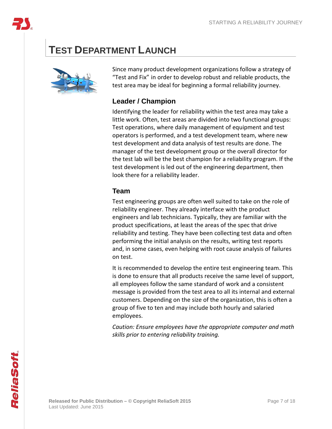

# <span id="page-6-0"></span>**TEST DEPARTMENT LAUNCH**



Since many product development organizations follow a strategy of "Test and Fix" in order to develop robust and reliable products, the test area may be ideal for beginning a formal reliability journey.

## **Leader / Champion**

Identifying the leader for reliability within the test area may take a little work. Often, test areas are divided into two functional groups: Test operations, where daily management of equipment and test operators is performed, and a test development team, where new test development and data analysis of test results are done. The manager of the test development group or the overall director for the test lab will be the best champion for a reliability program. If the test development is led out of the engineering department, then look there for a reliability leader.

## **Team**

Test engineering groups are often well suited to take on the role of reliability engineer. They already interface with the product engineers and lab technicians. Typically, they are familiar with the product specifications, at least the areas of the spec that drive reliability and testing. They have been collecting test data and often performing the initial analysis on the results, writing test reports and, in some cases, even helping with root cause analysis of failures on test.

It is recommended to develop the entire test engineering team. This is done to ensure that all products receive the same level of support, all employees follow the same standard of work and a consistent message is provided from the test area to all its internal and external customers. Depending on the size of the organization, this is often a group of five to ten and may include both hourly and salaried employees.

*Caution: Ensure employees have the appropriate computer and math skills prior to entering reliability training.*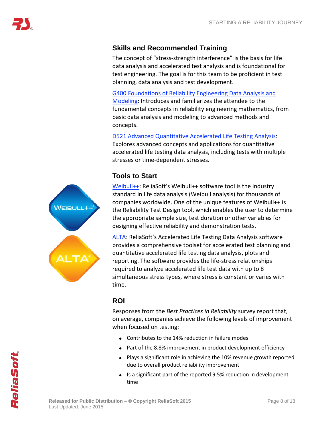## **Skills and Recommended Training**

The concept of "stress-strength interference" is the basis for life data analysis and accelerated test analysis and is foundational for test engineering. The goal is for this team to be proficient in test planning, data analysis and test development.

G400 [Foundations](http://www.reliasoft.com/seminars/courses/g400.htm) of Reliability Engineering Data Analysis and [Modeling:](http://www.reliasoft.com/seminars/courses/g400.htm) Introduces and familiarizes the attendee to the fundamental concepts in reliability engineering mathematics, from basic data analysis and modeling to advanced methods and concepts.

D521 Advanced [Quantitative](http://www.reliasoft.com/seminars/courses/d521.htm) Accelerated Life Testing Analysis: Explores advanced concepts and applications for quantitative accelerated life testing data analysis, including tests with multiple stresses or time-dependent stresses.

## **Tools to Start**

VEIBULL+-

[Weibull++:](http://www.reliasoft.com/Weibull/index.htm) ReliaSoft's Weibull++ software tool is the industry standard in life data analysis (Weibull analysis) for thousands of companies worldwide. One of the unique features of Weibull++ is the Reliability Test Design tool, which enables the user to determine the appropriate sample size, test duration or other variables for designing effective reliability and demonstration tests.

[ALTA:](http://www.reliasoft.com/alta/index.htm) ReliaSoft's Accelerated Life Testing Data Analysis software provides a comprehensive toolset for accelerated test planning and quantitative accelerated life testing data analysis, plots and reporting. The software provides the life-stress relationships required to analyze accelerated life test data with up to 8 simultaneous stress types, where stress is constant or varies with time.

## **ROI**

Responses from the *Best Practices in Reliability* survey report that, on average, companies achieve the following levels of improvement when focused on testing:

- Contributes to the 14% reduction in failure modes
- Part of the 8.8% improvement in product development efficiency
- Plays a significant role in achieving the 10% revenue growth reported due to overall product reliability improvement
- Is a significant part of the reported 9.5% reduction in development time

ReliaSoft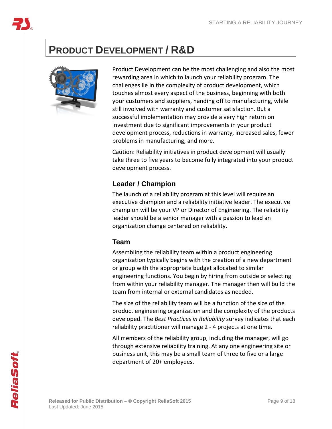

# <span id="page-8-0"></span>**PRODUCT DEVELOPMENT / R&D**



Product Development can be the most challenging and also the most rewarding area in which to launch your reliability program. The challenges lie in the complexity of product development, which touches almost every aspect of the business, beginning with both your customers and suppliers, handing off to manufacturing, while still involved with warranty and customer satisfaction. But a successful implementation may provide a very high return on investment due to significant improvements in your product development process, reductions in warranty, increased sales, fewer problems in manufacturing, and more.

Caution: Reliability initiatives in product development will usually take three to five years to become fully integrated into your product development process.

## **Leader / Champion**

The launch of a reliability program at this level will require an executive champion and a reliability initiative leader. The executive champion will be your VP or Director of Engineering. The reliability leader should be a senior manager with a passion to lead an organization change centered on reliability.

## **Team**

Assembling the reliability team within a product engineering organization typically begins with the creation of a new department or group with the appropriate budget allocated to similar engineering functions. You begin by hiring from outside or selecting from within your reliability manager. The manager then will build the team from internal or external candidates as needed.

The size of the reliability team will be a function of the size of the product engineering organization and the complexity of the products developed. The *Best Practices in Reliability* survey indicates that each reliability practitioner will manage 2 - 4 projects at one time.

All members of the reliability group, including the manager, will go through extensive reliability training. At any one engineering site or business unit, this may be a small team of three to five or a large department of 20+ employees.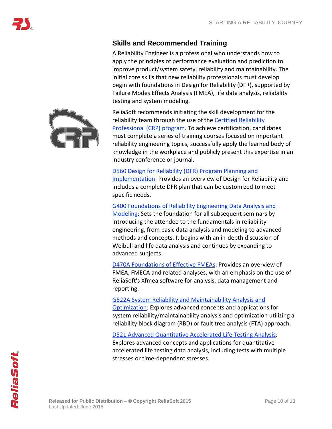## **Skills and Recommended Training**

A Reliability Engineer is a professional who understands how to apply the principles of performance evaluation and prediction to improve product/system safety, reliability and maintainability. The initial core skills that new reliability professionals must develop begin with foundations in Design for Reliability (DFR), supported by Failure Modes Effects Analysis (FMEA), life data analysis, reliability testing and system modeling.



D560 Design for [Reliability](http://www.reliasoft.com/seminars/courses/d560.htm) (DFR) Program Planning and [Implementation:](http://www.reliasoft.com/seminars/courses/d560.htm) Provides an overview of Design for Reliability and includes a complete DFR plan that can be customized to meet specific needs.

G400 [Foundations](http://www.reliasoft.com/seminars/courses/g400.htm) of Reliability Engineering Data Analysis and [Modeling:](http://www.reliasoft.com/seminars/courses/g400.htm) Sets the foundation for all subsequent seminars by introducing the attendee to the fundamentals in reliability engineering, from basic data analysis and modeling to advanced methods and concepts. It begins with an in-depth discussion of Weibull and life data analysis and continues by expanding to advanced subjects.

D470A [Foundations](http://www.reliasoft.com/seminars/courses/d470a.htm) of Effective FMEAs: Provides an overview of FMEA, FMECA and related analyses, with an emphasis on the use of ReliaSoft's Xfmea software for analysis, data management and reporting.

G522A System Reliability and [Maintainability](http://www.reliasoft.com/seminars/courses/g522a.htm) Analysis and [Optimization:](http://www.reliasoft.com/seminars/courses/g522a.htm) Explores advanced concepts and applications for system reliability/maintainability analysis and optimization utilizing a reliability block diagram (RBD) or fault tree analysis (FTA) approach.

D521 Advanced [Quantitative](http://www.reliasoft.com/seminars/courses/d521.htm) Accelerated Life Testing Analysis: Explores advanced concepts and applications for quantitative accelerated life testing data analysis, including tests with multiple stresses or time-dependent stresses.

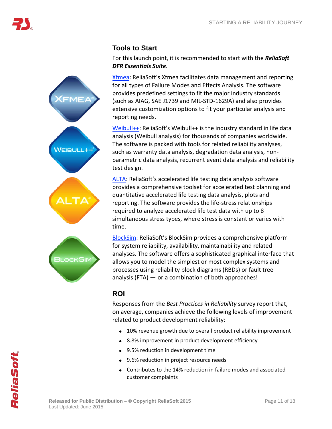# $V$ EIBULL++

**ILOCKSIN** 

## **Tools to Start**

For this launch point, it is recommended to start with the *ReliaSoft DFR Essentials Suite.*

[Xfmea:](http://www.reliasoft.com/xfmea/index.htm) ReliaSoft's Xfmea facilitates data management and reporting for all types of Failure Modes and Effects Analysis. The software provides predefined settings to fit the major industry standards (such as AIAG, SAE J1739 and MIL-STD-1629A) and also provides extensive customization options to fit your particular analysis and reporting needs.

[Weibull++:](http://www.reliasoft.com/Weibull/index.htm) ReliaSoft's Weibull++ is the industry standard in life data analysis (Weibull analysis) for thousands of companies worldwide. The software is packed with tools for related reliability analyses, such as warranty data analysis, degradation data analysis, nonparametric data analysis, recurrent event data analysis and reliability test design.

[ALTA:](http://www.reliasoft.com/alta/index.htm) ReliaSoft's accelerated life testing data analysis software provides a comprehensive toolset for accelerated test planning and quantitative accelerated life testing data analysis, plots and reporting. The software provides the life-stress relationships required to analyze accelerated life test data with up to 8 simultaneous stress types, where stress is constant or varies with time.

[BlockSim:](http://www.reliasoft.com/BlockSim/index.html) ReliaSoft's BlockSim provides a comprehensive platform for system reliability, availability, maintainability and related analyses. The software offers a sophisticated graphical interface that allows you to model the simplest or most complex systems and processes using reliability block diagrams (RBDs) or fault tree analysis (FTA) — or a combination of both approaches!

## **ROI**

<span id="page-10-0"></span>Responses from the *Best Practices in Reliability* survey report that, on average, companies achieve the following levels of improvement related to product development reliability:

- 10% revenue growth due to overall product reliability improvement
- 8.8% improvement in product development efficiency
- 9.5% reduction in development time
- 9.6% reduction in project resource needs
- Contributes to the 14% reduction in failure modes and associated customer complaints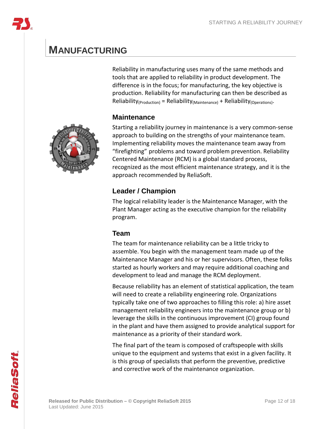## **MANUFACTURING**

Reliability in manufacturing uses many of the same methods and tools that are applied to reliability in product development. The difference is in the focus; for manufacturing, the key objective is production. Reliability for manufacturing can then be described as  $Reliability<sub>(Production)</sub> = Reliability<sub>(Maintenance)</sub> + Reliability<sub>(Observation</sub>).$ 

## **Maintenance**

Starting a reliability journey in maintenance is a very common-sense approach to building on the strengths of your maintenance team. Implementing reliability moves the maintenance team away from "firefighting" problems and toward problem prevention. Reliability Centered Maintenance (RCM) is a global standard process, recognized as the most efficient maintenance strategy, and it is the approach recommended by ReliaSoft.

## **Leader / Champion**

The logical reliability leader is the Maintenance Manager, with the Plant Manager acting as the executive champion for the reliability program.

## **Team**

The team for maintenance reliability can be a little tricky to assemble. You begin with the management team made up of the Maintenance Manager and his or her supervisors. Often, these folks started as hourly workers and may require additional coaching and development to lead and manage the RCM deployment.

Because reliability has an element of statistical application, the team will need to create a reliability engineering role. Organizations typically take one of two approaches to filling this role: a) hire asset management reliability engineers into the maintenance group or b) leverage the skills in the continuous improvement (CI) group found in the plant and have them assigned to provide analytical support for maintenance as a priority of their standard work.

The final part of the team is composed of craftspeople with skills unique to the equipment and systems that exist in a given facility. It is this group of specialists that perform the preventive, predictive and corrective work of the maintenance organization.

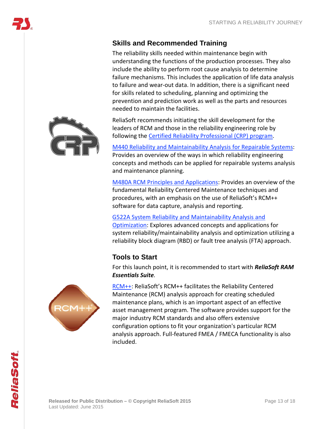## **Skills and Recommended Training**

The reliability skills needed within maintenance begin with understanding the functions of the production processes. They also include the ability to perform root cause analysis to determine failure mechanisms. This includes the application of life data analysis to failure and wear-out data. In addition, there is a significant need for skills related to scheduling, planning and optimizing the prevention and prediction work as well as the parts and resources needed to maintain the facilities.

ReliaSoft recommends initiating the skill development for the leaders of RCM and those in the reliability engineering role by following the Certified Reliability [Professional](http://www.reliabilityprofessional.org/) (CRP) program.

M440 Reliability and [Maintainability](http://www.reliasoft.com/seminars/courses/m440.htm) Analysis for Repairable Systems: Provides an overview of the ways in which reliability engineering concepts and methods can be applied for repairable systems analysis and maintenance planning.

M480A RCM Principles and [Applications:](http://www.reliasoft.com/seminars/courses/m480a.htm) Provides an overview of the fundamental Reliability Centered Maintenance techniques and procedures, with an emphasis on the use of ReliaSoft's RCM++ software for data capture, analysis and reporting.

## G522A System Reliability and [Maintainability](http://www.reliasoft.com/seminars/courses/g522a.htm) Analysis and

[Optimization:](http://www.reliasoft.com/seminars/courses/g522a.htm) Explores advanced concepts and applications for system reliability/maintainability analysis and optimization utilizing a reliability block diagram (RBD) or fault tree analysis (FTA) approach.

## **Tools to Start**

For this launch point, it is recommended to start with *ReliaSoft RAM Essentials Suite.*





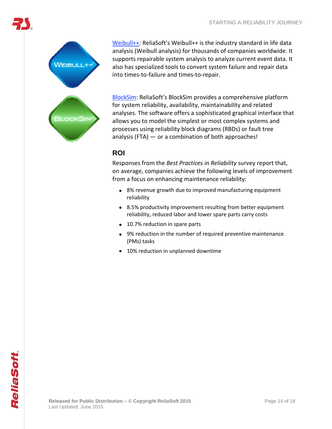

[Weibull++:](http://www.reliasoft.com/Weibull/index.htm) ReliaSoft's Weibull++ is the industry standard in life data analysis (Weibull analysis) for thousands of companies worldwide. It supports repairable system analysis to analyze current event data. It also has specialized tools to convert system failure and repair data into times-to-failure and times-to-repair.

[BlockSim:](http://www.reliasoft.com/BlockSim/index.html) ReliaSoft's BlockSim provides a comprehensive platform for system reliability, availability, maintainability and related analyses. The software offers a sophisticated graphical interface that allows you to model the simplest or most complex systems and processes using reliability block diagrams (RBDs) or fault tree analysis (FTA)  $-$  or a combination of both approaches!

## **ROI**

<span id="page-13-0"></span>Responses from the *Best Practices in Reliability* survey report that, on average, companies achieve the following levels of improvement from a focus on enhancing maintenance reliability:

- 8% revenue growth due to improved manufacturing equipment reliability
- 8.5% productivity improvement resulting from better equipment reliability, reduced labor and lower spare parts carry costs
- 10.7% reduction in spare parts
- 9% reduction in the number of required preventive maintenance (PMs) tasks
- 10% reduction in unplanned downtime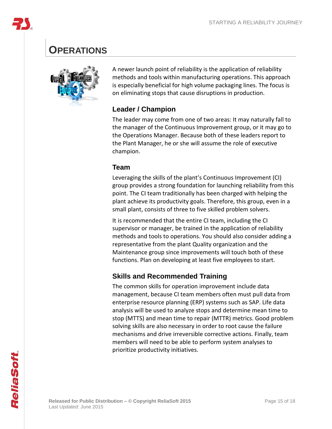## **OPERATIONS**



A newer launch point of reliability is the application of reliability methods and tools within manufacturing operations. This approach is especially beneficial for high volume packaging lines. The focus is on eliminating stops that cause disruptions in production.

## **Leader / Champion**

The leader may come from one of two areas: It may naturally fall to the manager of the Continuous Improvement group, or it may go to the Operations Manager. Because both of these leaders report to the Plant Manager, he or she will assume the role of executive champion.

## **Team**

Leveraging the skills of the plant's Continuous Improvement (CI) group provides a strong foundation for launching reliability from this point. The CI team traditionally has been charged with helping the plant achieve its productivity goals. Therefore, this group, even in a small plant, consists of three to five skilled problem solvers.

It is recommended that the entire CI team, including the CI supervisor or manager, be trained in the application of reliability methods and tools to operations. You should also consider adding a representative from the plant Quality organization and the Maintenance group since improvements will touch both of these functions. Plan on developing at least five employees to start.

## **Skills and Recommended Training**

The common skills for operation improvement include data management, because CI team members often must pull data from enterprise resource planning (ERP) systems such as SAP. Life data analysis will be used to analyze stops and determine mean time to stop (MTTS) and mean time to repair (MTTR) metrics. Good problem solving skills are also necessary in order to root cause the failure mechanisms and drive irreversible corrective actions. Finally, team members will need to be able to perform system analyses to prioritize productivity initiatives.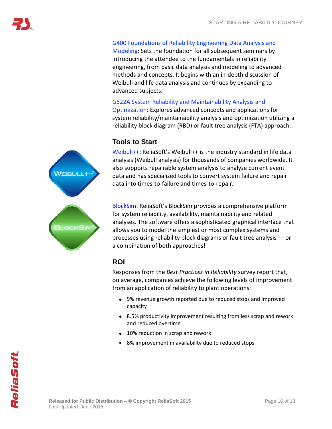## G400 [Foundations](http://www.reliasoft.com/seminars/courses/g400.htm) of Reliability Engineering Data Analysis and

[Modeling:](http://www.reliasoft.com/seminars/courses/g400.htm) Sets the foundation for all subsequent seminars by introducing the attendee to the fundamentals in reliability engineering, from basic data analysis and modeling to advanced methods and concepts. It begins with an in-depth discussion of Weibull and life data analysis and continues by expanding to advanced subjects.

G522A System Reliability and [Maintainability](http://www.reliasoft.com/seminars/courses/g522a.htm) Analysis and [Optimization:](http://www.reliasoft.com/seminars/courses/g522a.htm) Explores advanced concepts and applications for system reliability/maintainability analysis and optimization utilizing a reliability block diagram (RBD) or fault tree analysis (FTA) approach.

## **Tools to Start**

[Weibull++:](http://www.reliasoft.com/Weibull/index.htm) ReliaSoft's Weibull++ is the industry standard in life data analysis (Weibull analysis) for thousands of companies worldwide. It also supports repairable system analysis to analyze current event data and has specialized tools to convert system failure and repair data into times-to-failure and times-to-repair.

[BlockSim:](http://www.reliasoft.com/BlockSim/index.html) ReliaSoft's BlockSim provides a comprehensive platform for system reliability, availability, maintainability and related analyses. The software offers a sophisticated graphical interface that allows you to model the simplest or most complex systems and processes using reliability block diagrams or fault tree analysis — or a combination of both approaches!

## **ROI**

Responses from the *Best Practices in Reliability* survey report that, on average, companies achieve the following levels of improvement from an application of reliability to plant operations:

- 9% revenue growth reported due to reduced stops and improved capacity
- 8.5% productivity improvement resulting from less scrap and rework and reduced overtime
- 10% reduction in scrap and rework
- 8% improvement in availability due to reduced stops

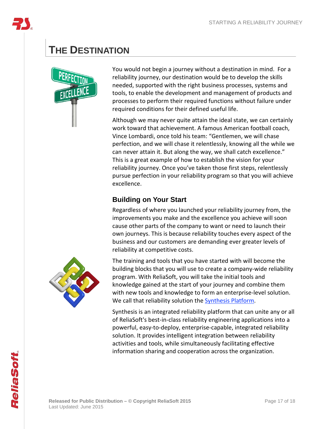

# **THE DESTINATION**



You would not begin a journey without a destination in mind. For a reliability journey, our destination would be to develop the skills needed, supported with the right business processes, systems and tools, to enable the development and management of products and processes to perform their required functions without failure under required conditions for their defined useful life.

Although we may never quite attain the ideal state, we can certainly work toward that achievement. A famous American football coach, Vince Lombardi, once told his team: "Gentlemen, we will chase perfection, and we will chase it relentlessly, knowing all the while we can never attain it. But along the way, we shall catch excellence." This is a great example of how to establish the vision for your reliability journey. Once you've taken those first steps, relentlessly pursue perfection in your reliability program so that you will achieve excellence.

## **Building on Your Start**

Regardless of where you launched your reliability journey from, the improvements you make and the excellence you achieve will soon cause other parts of the company to want or need to launch their own journeys. This is because reliability touches every aspect of the business and our customers are demanding ever greater levels of reliability at competitive costs.

The training and tools that you have started with will become the building blocks that you will use to create a company-wide reliability program. With ReliaSoft, you will take the initial tools and knowledge gained at the start of your journey and combine them with new tools and knowledge to form an enterprise-level solution. We call that reliability solution the **[Synthesis](http://www.reliasoft.com/synthesis/index.htm) Platform**.

Synthesis is an integrated reliability platform that can unite any or all of ReliaSoft's best-in-class reliability engineering applications into a powerful, easy-to-deploy, enterprise-capable, integrated reliability solution. It provides intelligent integration between reliability activities and tools, while simultaneously facilitating effective information sharing and cooperation across the organization.



ReliaSoft